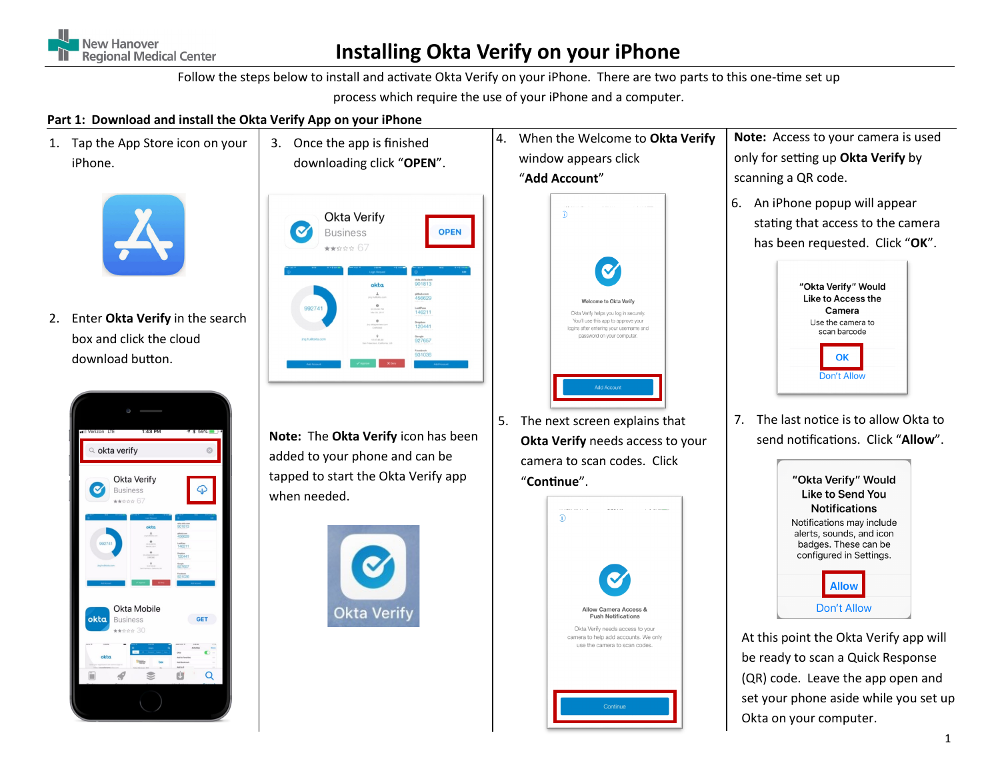

# **Installing Okta Verify on your iPhone**

Follow the steps below to install and activate Okta Verify on your iPhone. There are two parts to this one-time set up process which require the use of your iPhone and a computer.

### **Part 1: Download and install the Okta Verify App on your iPhone**

1. Tap the App Store icon on your iPhone.



2. Enter **Okta Verify** in the search box and click the cloud download button.





**Note:** The **Okta Verify** icon has been added to your phone and can be tapped to start the Okta Verify app when needed.





5. The next screen explains that **Okta Verify** needs access to your camera to scan codes. Click "**Continue**".



- **Note:** Access to your camera is used only for setting up **Okta Verify** by scanning a QR code.
- 6. An iPhone popup will appear stating that access to the camera has been requested. Click "**OK**".



7. The last notice is to allow Okta to send notifications. Click "**Allow**".



At this point the Okta Verify app will be ready to scan a Quick Response (QR) code. Leave the app open and set your phone aside while you set up Okta on your computer.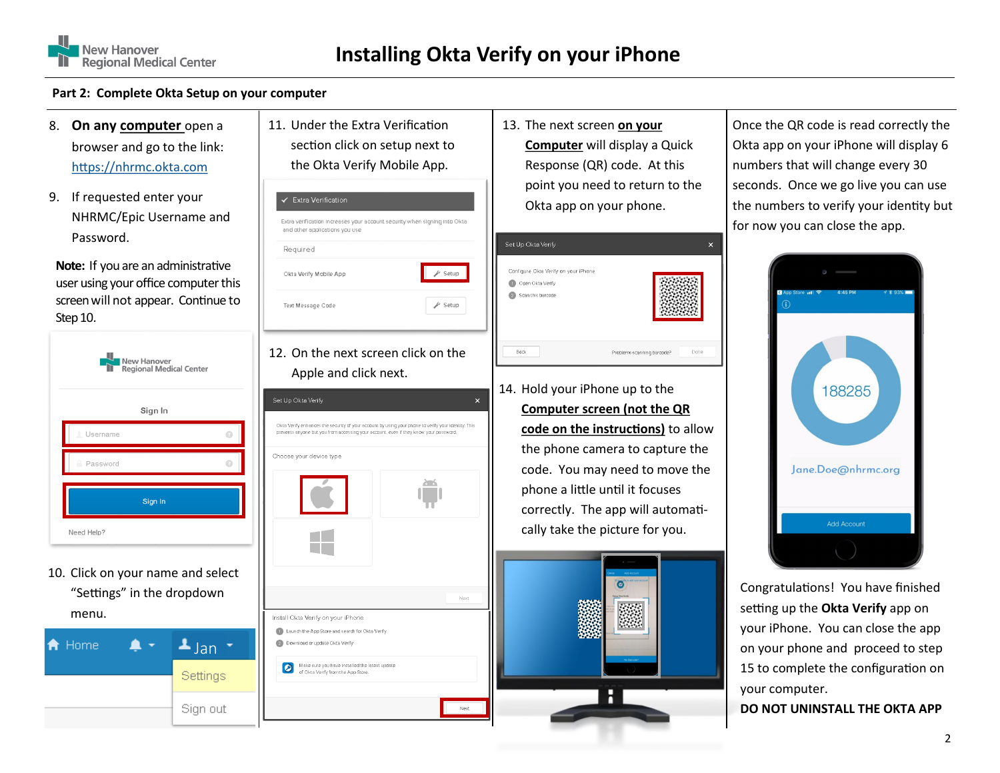

#### **Part 2: Complete Okta Setup on your computer**

- 8. **On any computer** open a browser and go to the link: <https://nhrmc.okta.com>
- 9. If requested enter your NHRMC/Epic Username and Password.

**Note:** If you are an administrative user using your office computer this screen will not appear. Continue to Step 10.

- **Vew Hanover** egional Medical Center Sign In Username Password Sign In Need Help?
- 10. Click on your name and select "Settings" in the dropdown menu.



11. Under the Extra Verification section click on setup next to the Okta Verify Mobile App.

Extra verification increases your account security when signing into Okta

 $\blacktriangleright$  Setup

Next

✔ Extra Verification

Okta Verify Mobile App

Required

and other applications you use.



Apple and click next.



13. The next screen **on your Computer** will display a Quick Response (QR) code. At this point you need to return to the Okta app on your phone.



14. Hold your iPhone up to the **Computer screen (not the QR** 

**code on the instructions)** to allow the phone camera to capture the code. You may need to move the phone a little until it focuses correctly. The app will automatically take the picture for you.



Once the QR code is read correctly the Okta app on your iPhone will display 6 numbers that will change every 30 seconds. Once we go live you can use the numbers to verify your identity but for now you can close the app.



Congratulations! You have finished setting up the **Okta Verify** app on your iPhone. You can close the app on your phone and proceed to step 15 to complete the configuration on your computer.

**DO NOT UNINSTALL THE OKTA APP**